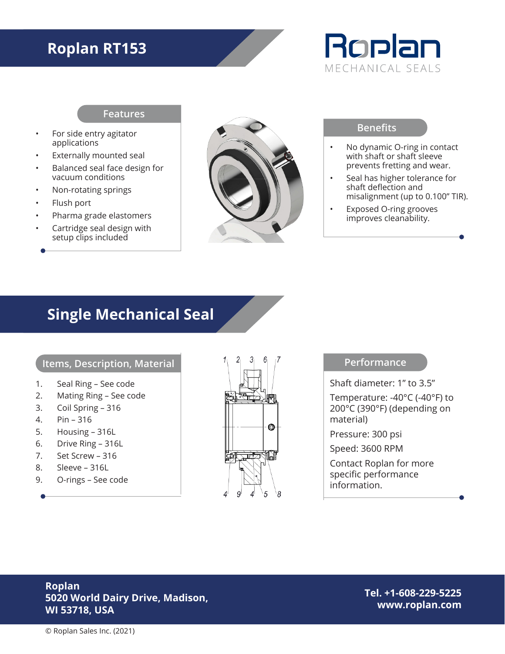# **Roplan RT153**



#### **Features**

- For side entry agitator applications
- **Externally mounted seal**
- Balanced seal face design for vacuum conditions
- Non-rotating springs
- Flush port
- Pharma grade elastomers
- Cartridge seal design with setup clips included



### **Benefits**

- No dynamic O-ring in contact with shaft or shaft sleeve prevents fretting and wear.
- Seal has higher tolerance for shaft deflection and misalignment (up to 0.100" TIR).
- Exposed O-ring grooves improves cleanability.

## **Single Mechanical Seal**

## **Items, Description, Material**

- 1. Seal Ring See code
- 2. Mating Ring See code
- 3. Coil Spring 316
- 4. Pin 316
- 5. Housing 316L
- 6. Drive Ring 316L
- 7. Set Screw 316
- 8. Sleeve 316L
- 9. O-rings See code



#### **Performance**

Shaft diameter: 1" to 3.5"

Temperature: -40°C (-40°F) to 200°C (390°F) (depending on material)

Pressure: 300 psi

Speed: 3600 RPM

Contact Roplan for more specific performance information.

## **Roplan 5020 World Dairy Drive, Madison, WI 53718, USA**

**Tel. +1-608-229-5225 www.roplan.com**